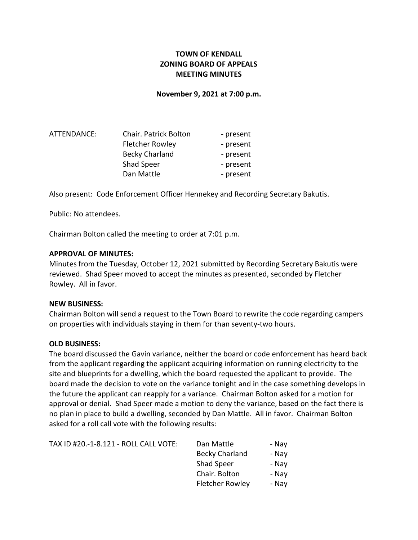# TOWN OF KENDALL ZONING BOARD OF APPEALS MEETING MINUTES

### November 9, 2021 at 7:00 p.m.

| ATTENDANCE: | <b>Chair. Patrick Bolton</b> | - present |
|-------------|------------------------------|-----------|
|             | <b>Fletcher Rowley</b>       | - present |
|             | <b>Becky Charland</b>        | - present |
|             | Shad Speer                   | - present |
|             | Dan Mattle                   | - present |

Also present: Code Enforcement Officer Hennekey and Recording Secretary Bakutis.

Public: No attendees.

Chairman Bolton called the meeting to order at 7:01 p.m.

### APPROVAL OF MINUTES:

Minutes from the Tuesday, October 12, 2021 submitted by Recording Secretary Bakutis were reviewed. Shad Speer moved to accept the minutes as presented, seconded by Fletcher Rowley. All in favor.

### NEW BUSINESS:

Chairman Bolton will send a request to the Town Board to rewrite the code regarding campers on properties with individuals staying in them for than seventy-two hours.

#### OLD BUSINESS:

The board discussed the Gavin variance, neither the board or code enforcement has heard back from the applicant regarding the applicant acquiring information on running electricity to the site and blueprints for a dwelling, which the board requested the applicant to provide. The board made the decision to vote on the variance tonight and in the case something develops in the future the applicant can reapply for a variance. Chairman Bolton asked for a motion for approval or denial. Shad Speer made a motion to deny the variance, based on the fact there is no plan in place to build a dwelling, seconded by Dan Mattle. All in favor. Chairman Bolton asked for a roll call vote with the following results:

| TAX ID #20.-1-8.121 - ROLL CALL VOTE: | Dan Mattle             | - Nay |
|---------------------------------------|------------------------|-------|
|                                       | <b>Becky Charland</b>  | - Nay |
|                                       | <b>Shad Speer</b>      | - Nav |
|                                       | Chair. Bolton          | - Nay |
|                                       | <b>Fletcher Rowley</b> | - Nay |